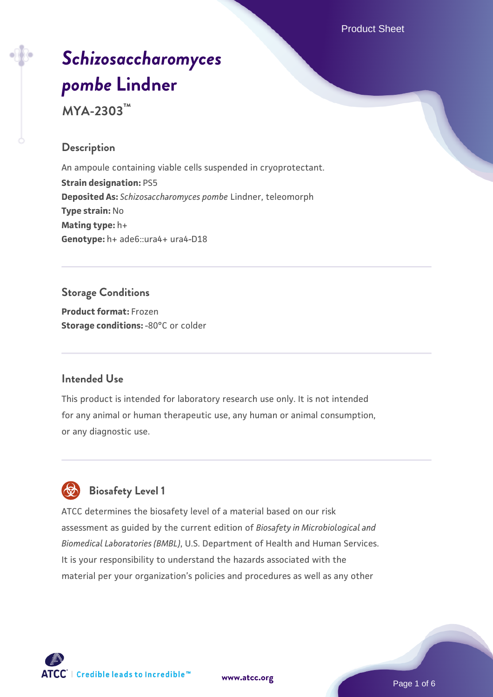Product Sheet

# *[Schizosaccharomyces](https://www.atcc.org/products/mya-2303) [pombe](https://www.atcc.org/products/mya-2303)* **[Lindner](https://www.atcc.org/products/mya-2303)**

**MYA-2303™**

## **Description**

An ampoule containing viable cells suspended in cryoprotectant. **Strain designation:** PS5 **Deposited As:** *Schizosaccharomyces pombe* Lindner, teleomorph **Type strain:** No **Mating type:** h+ **Genotype:** h+ ade6::ura4+ ura4-D18

## **Storage Conditions**

**Product format:** Frozen **Storage conditions: -80°C or colder** 

## **Intended Use**

This product is intended for laboratory research use only. It is not intended for any animal or human therapeutic use, any human or animal consumption, or any diagnostic use.



## **Biosafety Level 1**

ATCC determines the biosafety level of a material based on our risk assessment as guided by the current edition of *Biosafety in Microbiological and Biomedical Laboratories (BMBL)*, U.S. Department of Health and Human Services. It is your responsibility to understand the hazards associated with the material per your organization's policies and procedures as well as any other

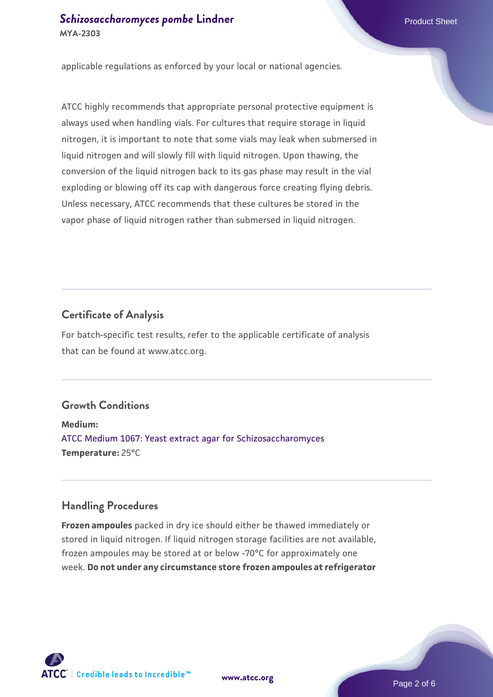applicable regulations as enforced by your local or national agencies.

ATCC highly recommends that appropriate personal protective equipment is always used when handling vials. For cultures that require storage in liquid nitrogen, it is important to note that some vials may leak when submersed in liquid nitrogen and will slowly fill with liquid nitrogen. Upon thawing, the conversion of the liquid nitrogen back to its gas phase may result in the vial exploding or blowing off its cap with dangerous force creating flying debris. Unless necessary, ATCC recommends that these cultures be stored in the vapor phase of liquid nitrogen rather than submersed in liquid nitrogen.

#### **Certificate of Analysis**

For batch-specific test results, refer to the applicable certificate of analysis that can be found at www.atcc.org.

#### **Growth Conditions**

**Medium:**  [ATCC Medium 1067: Yeast extract agar for Schizosaccharomyces](https://www.atcc.org/-/media/product-assets/documents/microbial-media-formulations/atcc-medium-1067.pdf?rev=a2c0da8c6b3c41e385f7db117142f7aa) **Temperature:** 25°C

#### **Handling Procedures**

**Frozen ampoules** packed in dry ice should either be thawed immediately or stored in liquid nitrogen. If liquid nitrogen storage facilities are not available, frozen ampoules may be stored at or below -70°C for approximately one week. **Do not under any circumstance store frozen ampoules at refrigerator**

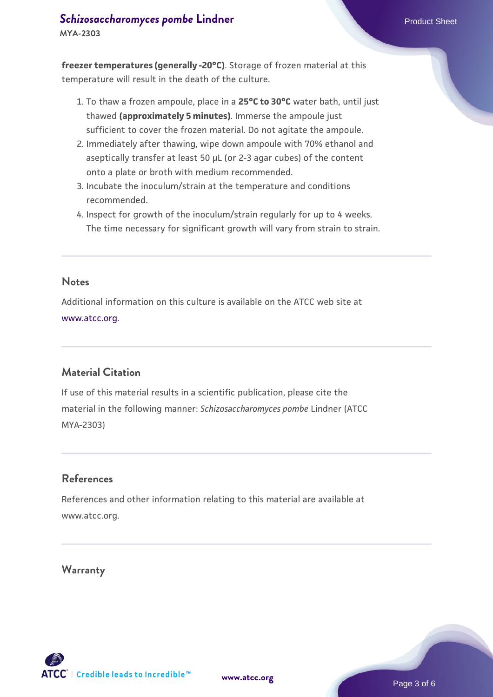#### **[Schizosaccharomyces pombe](https://www.atcc.org/products/mya-2303)** [Lindner](https://www.atcc.org/products/mya-2303) **Product Sheet** Product Sheet **MYA-2303**

**freezer temperatures (generally -20°C)**. Storage of frozen material at this temperature will result in the death of the culture.

- 1. To thaw a frozen ampoule, place in a **25°C to 30°C** water bath, until just thawed **(approximately 5 minutes)**. Immerse the ampoule just sufficient to cover the frozen material. Do not agitate the ampoule.
- 2. Immediately after thawing, wipe down ampoule with 70% ethanol and aseptically transfer at least 50 µL (or 2-3 agar cubes) of the content onto a plate or broth with medium recommended.
- 3. Incubate the inoculum/strain at the temperature and conditions recommended.
- 4. Inspect for growth of the inoculum/strain regularly for up to 4 weeks. The time necessary for significant growth will vary from strain to strain.

#### **Notes**

Additional information on this culture is available on the ATCC web site at [www.atcc.org.](http://www.atcc.org/)

## **Material Citation**

If use of this material results in a scientific publication, please cite the material in the following manner: *Schizosaccharomyces pombe* Lindner (ATCC MYA-2303)

## **References**

References and other information relating to this material are available at www.atcc.org.

#### **Warranty**

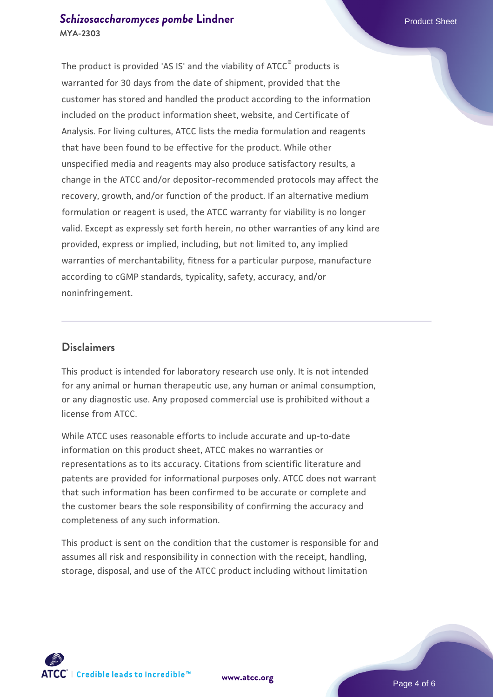## **[Schizosaccharomyces pombe](https://www.atcc.org/products/mya-2303)** [Lindner](https://www.atcc.org/products/mya-2303) **Product Sheet** Product Sheet **MYA-2303**

The product is provided 'AS IS' and the viability of ATCC® products is warranted for 30 days from the date of shipment, provided that the customer has stored and handled the product according to the information included on the product information sheet, website, and Certificate of Analysis. For living cultures, ATCC lists the media formulation and reagents that have been found to be effective for the product. While other unspecified media and reagents may also produce satisfactory results, a change in the ATCC and/or depositor-recommended protocols may affect the recovery, growth, and/or function of the product. If an alternative medium formulation or reagent is used, the ATCC warranty for viability is no longer valid. Except as expressly set forth herein, no other warranties of any kind are provided, express or implied, including, but not limited to, any implied warranties of merchantability, fitness for a particular purpose, manufacture according to cGMP standards, typicality, safety, accuracy, and/or noninfringement.

#### **Disclaimers**

This product is intended for laboratory research use only. It is not intended for any animal or human therapeutic use, any human or animal consumption, or any diagnostic use. Any proposed commercial use is prohibited without a license from ATCC.

While ATCC uses reasonable efforts to include accurate and up-to-date information on this product sheet, ATCC makes no warranties or representations as to its accuracy. Citations from scientific literature and patents are provided for informational purposes only. ATCC does not warrant that such information has been confirmed to be accurate or complete and the customer bears the sole responsibility of confirming the accuracy and completeness of any such information.

This product is sent on the condition that the customer is responsible for and assumes all risk and responsibility in connection with the receipt, handling, storage, disposal, and use of the ATCC product including without limitation



**[www.atcc.org](http://www.atcc.org)**

Page 4 of 6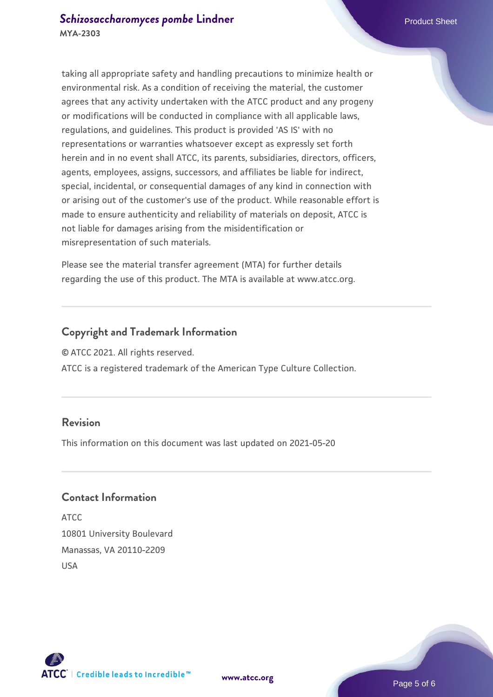taking all appropriate safety and handling precautions to minimize health or environmental risk. As a condition of receiving the material, the customer agrees that any activity undertaken with the ATCC product and any progeny or modifications will be conducted in compliance with all applicable laws, regulations, and guidelines. This product is provided 'AS IS' with no representations or warranties whatsoever except as expressly set forth herein and in no event shall ATCC, its parents, subsidiaries, directors, officers, agents, employees, assigns, successors, and affiliates be liable for indirect, special, incidental, or consequential damages of any kind in connection with or arising out of the customer's use of the product. While reasonable effort is made to ensure authenticity and reliability of materials on deposit, ATCC is not liable for damages arising from the misidentification or misrepresentation of such materials.

Please see the material transfer agreement (MTA) for further details regarding the use of this product. The MTA is available at www.atcc.org.

## **Copyright and Trademark Information**

© ATCC 2021. All rights reserved.

ATCC is a registered trademark of the American Type Culture Collection.

#### **Revision**

This information on this document was last updated on 2021-05-20

## **Contact Information**

ATCC 10801 University Boulevard Manassas, VA 20110-2209 USA